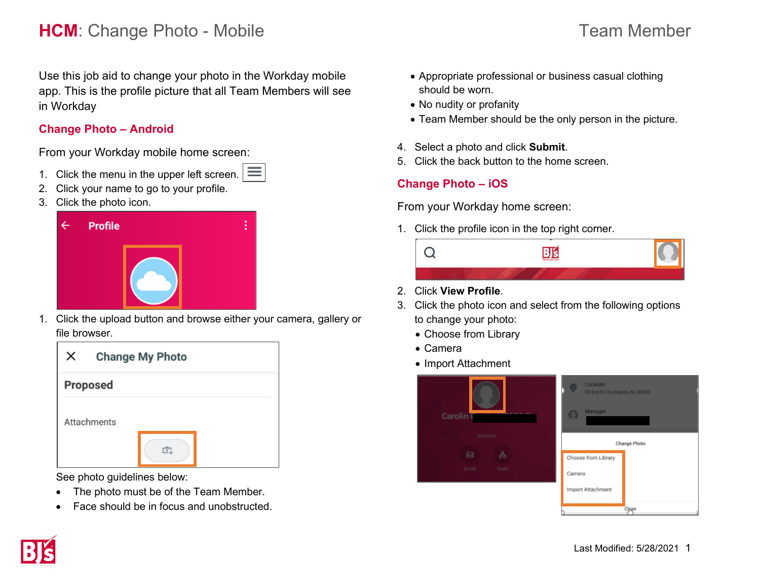# **HCM**: Change Photo - Mobile **Team Member** Team Member

Use this job aid to change your photo in the Workday mobile app. This is the profile picture that all Team Members will see in Workday

### **Change Photo – Android**

From your Workday mobile home screen:

- 1. Click the menu in the upper left screen.  $\equiv$
- 2. Click your name to go to your profile.
- 3. Click the photo icon.



1. Click the upload button and browse either your camera, gallery or file browser.

| $\times$ | <b>Change My Photo</b> |
|----------|------------------------|
|          | <b>Proposed</b>        |
|          | Attachments            |

See photo guidelines below:

- The photo must be of the Team Member.
- Face should be in focus and unobstructed
- Appropriate professional or business casual clothing should be worn.
- No nudity or profanity
- Team Member should be the only person in the picture.
- 4. Select a photo and click **Submit**.
- 5. Click the back button to the home screen.

# **Change Photo – iOS**

From your Workday home screen:

1. Click the profile icon in the top right corner.



- 2. Click **View Profile**.
- 3. Click the photo icon and select from the following options to change your photo:
	- Choose from Library
	- Camera
	- Import Attachment